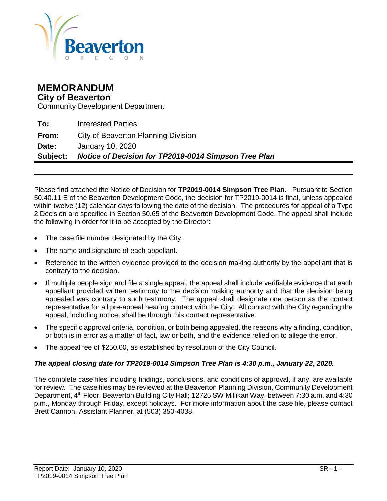

# **MEMORANDUM**

**City of Beaverton**

Community Development Department

**To:** Interested Parties **From:** City of Beaverton Planning Division **Date:** January 10, 2020 **Subject:** *Notice of Decision for TP2019-0014 Simpson Tree Plan*

Please find attached the Notice of Decision for **TP2019-0014 Simpson Tree Plan.** Pursuant to Section 50.40.11.E of the Beaverton Development Code, the decision for TP2019-0014 is final, unless appealed within twelve (12) calendar days following the date of the decision. The procedures for appeal of a Type 2 Decision are specified in Section 50.65 of the Beaverton Development Code. The appeal shall include the following in order for it to be accepted by the Director:

- The case file number designated by the City.
- The name and signature of each appellant.
- Reference to the written evidence provided to the decision making authority by the appellant that is contrary to the decision.
- If multiple people sign and file a single appeal, the appeal shall include verifiable evidence that each appellant provided written testimony to the decision making authority and that the decision being appealed was contrary to such testimony. The appeal shall designate one person as the contact representative for all pre-appeal hearing contact with the City. All contact with the City regarding the appeal, including notice, shall be through this contact representative.
- The specific approval criteria, condition, or both being appealed, the reasons why a finding, condition, or both is in error as a matter of fact, law or both, and the evidence relied on to allege the error.
- The appeal fee of \$250.00, as established by resolution of the City Council.

#### *The appeal closing date for TP2019-0014 Simpson Tree Plan is 4:30 p.m., January 22, 2020.*

The complete case files including findings, conclusions, and conditions of approval, if any, are available for review. The case files may be reviewed at the Beaverton Planning Division, Community Development Department, 4th Floor, Beaverton Building City Hall; 12725 SW Millikan Way, between 7:30 a.m. and 4:30 p.m., Monday through Friday, except holidays. For more information about the case file, please contact Brett Cannon, Assistant Planner, at (503) 350-4038.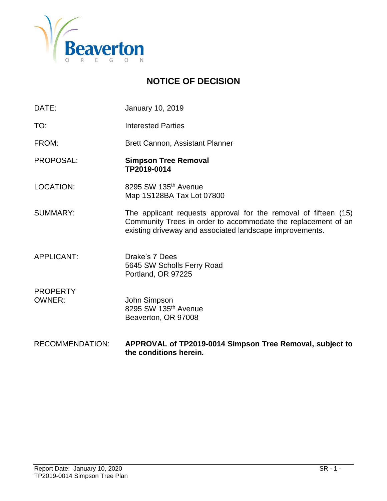

# **NOTICE OF DECISION**

- DATE: January 10, 2019
- TO: Interested Parties

FROM: Brett Cannon, Assistant Planner

- PROPOSAL: **Simpson Tree Removal TP2019-0014**
- LOCATION: 8295 SW 135<sup>th</sup> Avenue Map 1S128BA Tax Lot 07800

SUMMARY: The applicant requests approval for the removal of fifteen (15) Community Trees in order to accommodate the replacement of an existing driveway and associated landscape improvements.

- APPLICANT: Drake's 7 Dees 5645 SW Scholls Ferry Road Portland, OR 97225
- PROPERTY OWNER: John Simpson 8295 SW 135<sup>th</sup> Avenue Beaverton, OR 97008
- RECOMMENDATION: **APPROVAL of TP2019-0014 Simpson Tree Removal, subject to the conditions herein.**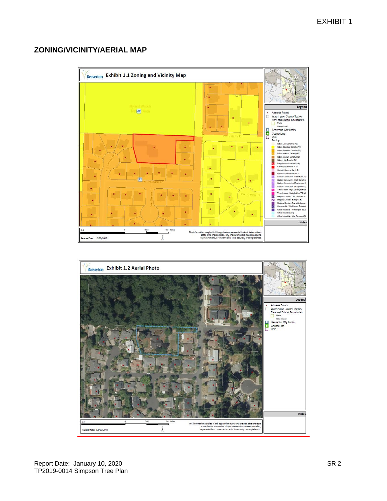# **ZONING/VICINITY/AERIAL MAP**



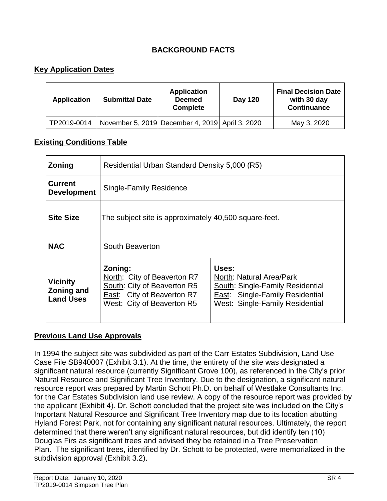# **BACKGROUND FACTS**

### **Key Application Dates**

| <b>Application</b> | <b>Submittal Date</b> | <b>Application</b><br><b>Deemed</b><br><b>Complete</b> | Day 120 | <b>Final Decision Date</b><br>with 30 day<br><b>Continuance</b> |
|--------------------|-----------------------|--------------------------------------------------------|---------|-----------------------------------------------------------------|
| TP2019-0014        |                       | November 5, 2019 December 4, 2019 April 3, 2020        |         | May 3, 2020                                                     |

#### **Existing Conditions Table**

| <b>Zoning</b>                                            | Residential Urban Standard Density 5,000 (R5)                                                                                     |                                                                                                                                                    |  |
|----------------------------------------------------------|-----------------------------------------------------------------------------------------------------------------------------------|----------------------------------------------------------------------------------------------------------------------------------------------------|--|
| <b>Current</b><br><b>Development</b>                     | <b>Single-Family Residence</b>                                                                                                    |                                                                                                                                                    |  |
| <b>Site Size</b>                                         | The subject site is approximately 40,500 square-feet.                                                                             |                                                                                                                                                    |  |
| <b>NAC</b>                                               | South Beaverton                                                                                                                   |                                                                                                                                                    |  |
| <b>Vicinity</b><br><b>Zoning and</b><br><b>Land Uses</b> | Zoning:<br>North: City of Beaverton R7<br>South: City of Beaverton R5<br>East: City of Beaverton R7<br>West: City of Beaverton R5 | Uses:<br>North: Natural Area/Park<br>South: Single-Family Residential<br><b>East:</b> Single-Family Residential<br>West: Single-Family Residential |  |

#### **Previous Land Use Approvals**

In 1994 the subject site was subdivided as part of the Carr Estates Subdivision, Land Use Case File SB940007 (Exhibit 3.1). At the time, the entirety of the site was designated a significant natural resource (currently Significant Grove 100), as referenced in the City's prior Natural Resource and Significant Tree Inventory. Due to the designation, a significant natural resource report was prepared by Martin Schott Ph.D. on behalf of Westlake Consultants Inc. for the Car Estates Subdivision land use review. A copy of the resource report was provided by the applicant (Exhibit 4). Dr. Schott concluded that the project site was included on the City's Important Natural Resource and Significant Tree Inventory map due to its location abutting Hyland Forest Park, not for containing any significant natural resources. Ultimately, the report determined that there weren't any significant natural resources, but did identify ten (10) Douglas Firs as significant trees and advised they be retained in a Tree Preservation Plan. The significant trees, identified by Dr. Schott to be protected, were memorialized in the subdivision approval (Exhibit 3.2).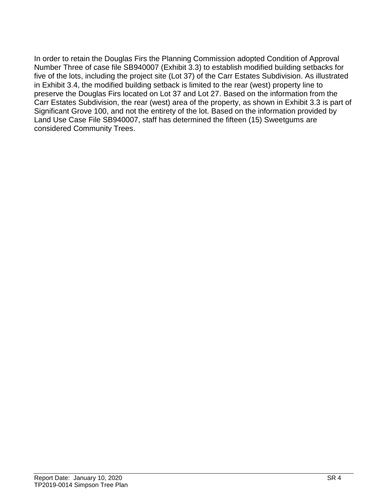In order to retain the Douglas Firs the Planning Commission adopted Condition of Approval Number Three of case file SB940007 (Exhibit 3.3) to establish modified building setbacks for five of the lots, including the project site (Lot 37) of the Carr Estates Subdivision. As illustrated in Exhibit 3.4, the modified building setback is limited to the rear (west) property line to preserve the Douglas Firs located on Lot 37 and Lot 27. Based on the information from the Carr Estates Subdivision, the rear (west) area of the property, as shown in Exhibit 3.3 is part of Significant Grove 100, and not the entirety of the lot. Based on the information provided by Land Use Case File SB940007, staff has determined the fifteen (15) Sweetgums are considered Community Trees.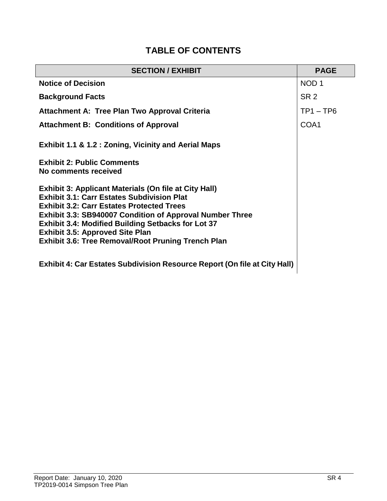# **TABLE OF CONTENTS**

| <b>SECTION / EXHIBIT</b>                                                                                                                                                                                                                                                                                                                                                                                     | <b>PAGE</b>      |
|--------------------------------------------------------------------------------------------------------------------------------------------------------------------------------------------------------------------------------------------------------------------------------------------------------------------------------------------------------------------------------------------------------------|------------------|
| <b>Notice of Decision</b>                                                                                                                                                                                                                                                                                                                                                                                    | NOD <sub>1</sub> |
| <b>Background Facts</b>                                                                                                                                                                                                                                                                                                                                                                                      | SR <sub>2</sub>  |
| <b>Attachment A: Tree Plan Two Approval Criteria</b>                                                                                                                                                                                                                                                                                                                                                         | $TP1 - TP6$      |
| <b>Attachment B: Conditions of Approval</b>                                                                                                                                                                                                                                                                                                                                                                  | COA1             |
| <b>Exhibit 1.1 &amp; 1.2 : Zoning, Vicinity and Aerial Maps</b>                                                                                                                                                                                                                                                                                                                                              |                  |
| <b>Exhibit 2: Public Comments</b><br>No comments received                                                                                                                                                                                                                                                                                                                                                    |                  |
| <b>Exhibit 3: Applicant Materials (On file at City Hall)</b><br><b>Exhibit 3.1: Carr Estates Subdivision Plat</b><br><b>Exhibit 3.2: Carr Estates Protected Trees</b><br><b>Exhibit 3.3: SB940007 Condition of Approval Number Three</b><br><b>Exhibit 3.4: Modified Building Setbacks for Lot 37</b><br><b>Exhibit 3.5: Approved Site Plan</b><br><b>Exhibit 3.6: Tree Removal/Root Pruning Trench Plan</b> |                  |
| <b>Exhibit 4: Car Estates Subdivision Resource Report (On file at City Hall)</b>                                                                                                                                                                                                                                                                                                                             |                  |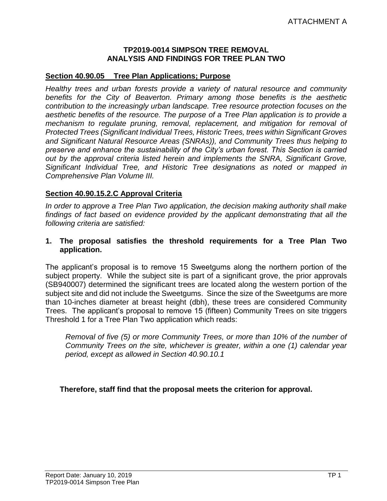#### **TP2019-0014 SIMPSON TREE REMOVAL ANALYSIS AND FINDINGS FOR TREE PLAN TWO**

#### **Section 40.90.05 Tree Plan Applications; Purpose**

*Healthy trees and urban forests provide a variety of natural resource and community benefits for the City of Beaverton. Primary among those benefits is the aesthetic contribution to the increasingly urban landscape. Tree resource protection focuses on the aesthetic benefits of the resource. The purpose of a Tree Plan application is to provide a mechanism to regulate pruning, removal, replacement, and mitigation for removal of Protected Trees (Significant Individual Trees, Historic Trees, trees within Significant Groves and Significant Natural Resource Areas (SNRAs)), and Community Trees thus helping to preserve and enhance the sustainability of the City's urban forest. This Section is carried out by the approval criteria listed herein and implements the SNRA, Significant Grove, Significant Individual Tree, and Historic Tree designations as noted or mapped in Comprehensive Plan Volume III.*

#### **Section 40.90.15.2.C Approval Criteria**

*In order to approve a Tree Plan Two application, the decision making authority shall make findings of fact based on evidence provided by the applicant demonstrating that all the following criteria are satisfied:*

#### **1. The proposal satisfies the threshold requirements for a Tree Plan Two application.**

The applicant's proposal is to remove 15 Sweetgums along the northern portion of the subject property. While the subject site is part of a significant grove, the prior approvals (SB940007) determined the significant trees are located along the western portion of the subject site and did not include the Sweetgums. Since the size of the Sweetgums are more than 10-inches diameter at breast height (dbh), these trees are considered Community Trees. The applicant's proposal to remove 15 (fifteen) Community Trees on site triggers Threshold 1 for a Tree Plan Two application which reads:

*Removal of five (5) or more Community Trees, or more than 10% of the number of Community Trees on the site, whichever is greater, within a one (1) calendar year period, except as allowed in Section 40.90.10.1*

**Therefore, staff find that the proposal meets the criterion for approval.**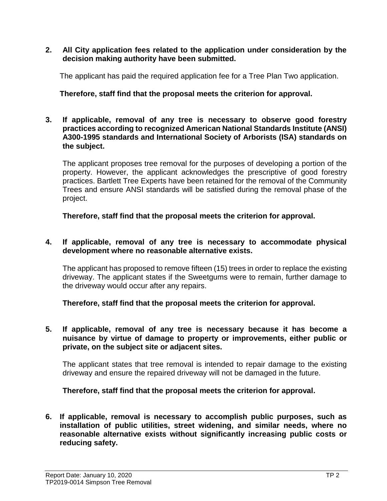**2. All City application fees related to the application under consideration by the decision making authority have been submitted.**

The applicant has paid the required application fee for a Tree Plan Two application.

### **Therefore, staff find that the proposal meets the criterion for approval.**

**3. If applicable, removal of any tree is necessary to observe good forestry practices according to recognized American National Standards Institute (ANSI) A300-1995 standards and International Society of Arborists (ISA) standards on the subject.**

The applicant proposes tree removal for the purposes of developing a portion of the property. However, the applicant acknowledges the prescriptive of good forestry practices. Bartlett Tree Experts have been retained for the removal of the Community Trees and ensure ANSI standards will be satisfied during the removal phase of the project.

**Therefore, staff find that the proposal meets the criterion for approval.**

#### **4. If applicable, removal of any tree is necessary to accommodate physical development where no reasonable alternative exists.**

The applicant has proposed to remove fifteen (15) trees in order to replace the existing driveway. The applicant states if the Sweetgums were to remain, further damage to the driveway would occur after any repairs.

**Therefore, staff find that the proposal meets the criterion for approval.**

**5. If applicable, removal of any tree is necessary because it has become a nuisance by virtue of damage to property or improvements, either public or private, on the subject site or adjacent sites.**

The applicant states that tree removal is intended to repair damage to the existing driveway and ensure the repaired driveway will not be damaged in the future.

#### **Therefore, staff find that the proposal meets the criterion for approval.**

**6. If applicable, removal is necessary to accomplish public purposes, such as installation of public utilities, street widening, and similar needs, where no reasonable alternative exists without significantly increasing public costs or reducing safety.**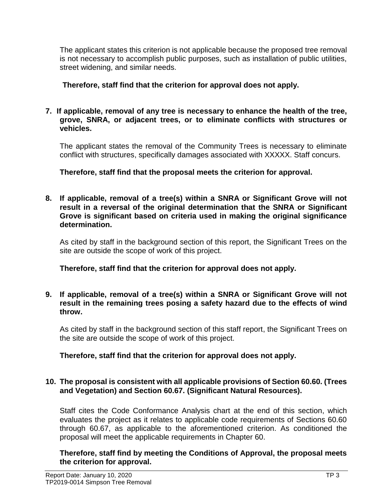The applicant states this criterion is not applicable because the proposed tree removal is not necessary to accomplish public purposes, such as installation of public utilities, street widening, and similar needs.

## **Therefore, staff find that the criterion for approval does not apply.**

#### **7. If applicable, removal of any tree is necessary to enhance the health of the tree, grove, SNRA, or adjacent trees, or to eliminate conflicts with structures or vehicles.**

The applicant states the removal of the Community Trees is necessary to eliminate conflict with structures, specifically damages associated with XXXXX. Staff concurs.

**Therefore, staff find that the proposal meets the criterion for approval.**

**8. If applicable, removal of a tree(s) within a SNRA or Significant Grove will not result in a reversal of the original determination that the SNRA or Significant Grove is significant based on criteria used in making the original significance determination.**

As cited by staff in the background section of this report, the Significant Trees on the site are outside the scope of work of this project.

**Therefore, staff find that the criterion for approval does not apply.**

**9. If applicable, removal of a tree(s) within a SNRA or Significant Grove will not result in the remaining trees posing a safety hazard due to the effects of wind throw.**

As cited by staff in the background section of this staff report, the Significant Trees on the site are outside the scope of work of this project.

# **Therefore, staff find that the criterion for approval does not apply.**

### **10. The proposal is consistent with all applicable provisions of Section 60.60. (Trees and Vegetation) and Section 60.67. (Significant Natural Resources).**

Staff cites the Code Conformance Analysis chart at the end of this section, which evaluates the project as it relates to applicable code requirements of Sections 60.60 through 60.67, as applicable to the aforementioned criterion. As conditioned the proposal will meet the applicable requirements in Chapter 60.

**Therefore, staff find by meeting the Conditions of Approval, the proposal meets the criterion for approval.**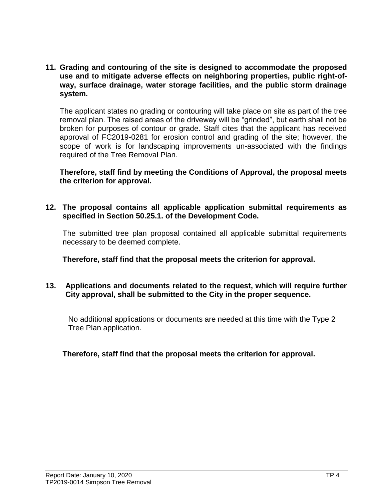**11. Grading and contouring of the site is designed to accommodate the proposed use and to mitigate adverse effects on neighboring properties, public right-ofway, surface drainage, water storage facilities, and the public storm drainage system.**

The applicant states no grading or contouring will take place on site as part of the tree removal plan. The raised areas of the driveway will be "grinded", but earth shall not be broken for purposes of contour or grade. Staff cites that the applicant has received approval of FC2019-0281 for erosion control and grading of the site; however, the scope of work is for landscaping improvements un-associated with the findings required of the Tree Removal Plan.

**Therefore, staff find by meeting the Conditions of Approval, the proposal meets the criterion for approval.**

**12. The proposal contains all applicable application submittal requirements as specified in Section 50.25.1. of the Development Code.**

The submitted tree plan proposal contained all applicable submittal requirements necessary to be deemed complete.

**Therefore, staff find that the proposal meets the criterion for approval.**

#### **13. Applications and documents related to the request, which will require further City approval, shall be submitted to the City in the proper sequence.**

No additional applications or documents are needed at this time with the Type 2 Tree Plan application.

#### **Therefore, staff find that the proposal meets the criterion for approval.**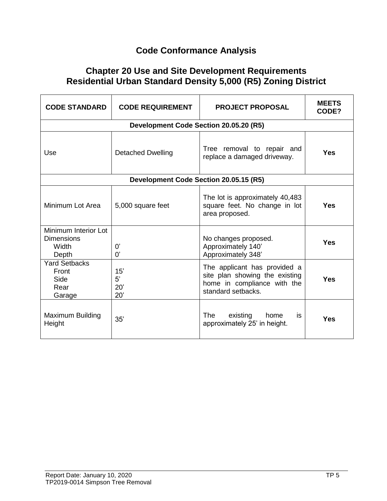# **Code Conformance Analysis**

# **Chapter 20 Use and Site Development Requirements Residential Urban Standard Density 5,000 (R5) Zoning District**

| <b>CODE STANDARD</b>                                        | <b>CODE REQUIREMENT</b>                | <b>PROJECT PROPOSAL</b>                                                                                             | <b>MEETS</b><br>CODE? |  |  |  |
|-------------------------------------------------------------|----------------------------------------|---------------------------------------------------------------------------------------------------------------------|-----------------------|--|--|--|
|                                                             | Development Code Section 20.05.20 (R5) |                                                                                                                     |                       |  |  |  |
| Use                                                         | <b>Detached Dwelling</b>               | Tree removal to repair and<br>replace a damaged driveway.                                                           | Yes                   |  |  |  |
| Development Code Section 20.05.15 (R5)                      |                                        |                                                                                                                     |                       |  |  |  |
| Minimum Lot Area                                            | 5,000 square feet                      | The lot is approximately 40,483<br>square feet. No change in lot<br>area proposed.                                  | <b>Yes</b>            |  |  |  |
| Minimum Interior Lot<br><b>Dimensions</b><br>Width<br>Depth | 0'<br>0'                               | No changes proposed.<br>Approximately 140'<br>Approximately 348'                                                    | <b>Yes</b>            |  |  |  |
| <b>Yard Setbacks</b><br>Front<br>Side<br>Rear<br>Garage     | 15'<br>5'<br>20'<br>20'                | The applicant has provided a<br>site plan showing the existing<br>home in compliance with the<br>standard setbacks. | Yes                   |  |  |  |
| Maximum Building<br>Height                                  | 35'                                    | The<br>existing<br>home<br>is.<br>approximately 25' in height.                                                      | <b>Yes</b>            |  |  |  |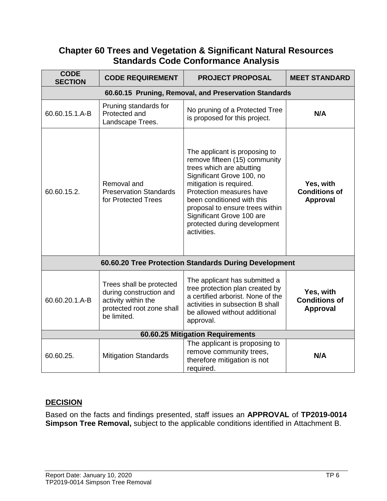# **Chapter 60 Trees and Vegetation & Significant Natural Resources Standards Code Conformance Analysis**

| <b>CODE</b><br><b>SECTION</b>                         | <b>CODE REQUIREMENT</b>                                                                                                | <b>PROJECT PROPOSAL</b>                                                                                                                                                                                                                                                                                                     | <b>MEET STANDARD</b>                                 |  |  |
|-------------------------------------------------------|------------------------------------------------------------------------------------------------------------------------|-----------------------------------------------------------------------------------------------------------------------------------------------------------------------------------------------------------------------------------------------------------------------------------------------------------------------------|------------------------------------------------------|--|--|
| 60.60.15 Pruning, Removal, and Preservation Standards |                                                                                                                        |                                                                                                                                                                                                                                                                                                                             |                                                      |  |  |
| 60.60.15.1.A-B                                        | Pruning standards for<br>Protected and<br>Landscape Trees.                                                             | No pruning of a Protected Tree<br>is proposed for this project.                                                                                                                                                                                                                                                             | N/A                                                  |  |  |
| 60.60.15.2.                                           | Removal and<br><b>Preservation Standards</b><br>for Protected Trees                                                    | The applicant is proposing to<br>remove fifteen (15) community<br>trees which are abutting<br>Significant Grove 100, no<br>mitigation is required.<br>Protection measures have<br>been conditioned with this<br>proposal to ensure trees within<br>Significant Grove 100 are<br>protected during development<br>activities. | Yes, with<br><b>Conditions of</b><br><b>Approval</b> |  |  |
| 60.60.20 Tree Protection Standards During Development |                                                                                                                        |                                                                                                                                                                                                                                                                                                                             |                                                      |  |  |
| 60.60.20.1.A-B                                        | Trees shall be protected<br>during construction and<br>activity within the<br>protected root zone shall<br>be limited. | The applicant has submitted a<br>tree protection plan created by<br>a certified arborist. None of the<br>activities in subsection B shall<br>be allowed without additional<br>approval.                                                                                                                                     | Yes, with<br><b>Conditions of</b><br><b>Approval</b> |  |  |
| 60.60.25 Mitigation Requirements                      |                                                                                                                        |                                                                                                                                                                                                                                                                                                                             |                                                      |  |  |
| 60.60.25.                                             | <b>Mitigation Standards</b>                                                                                            | The applicant is proposing to<br>remove community trees,<br>therefore mitigation is not<br>required.                                                                                                                                                                                                                        | N/A                                                  |  |  |

#### **DECISION**

Based on the facts and findings presented, staff issues an **APPROVAL** of **TP2019-0014 Simpson Tree Removal,** subject to the applicable conditions identified in Attachment B.